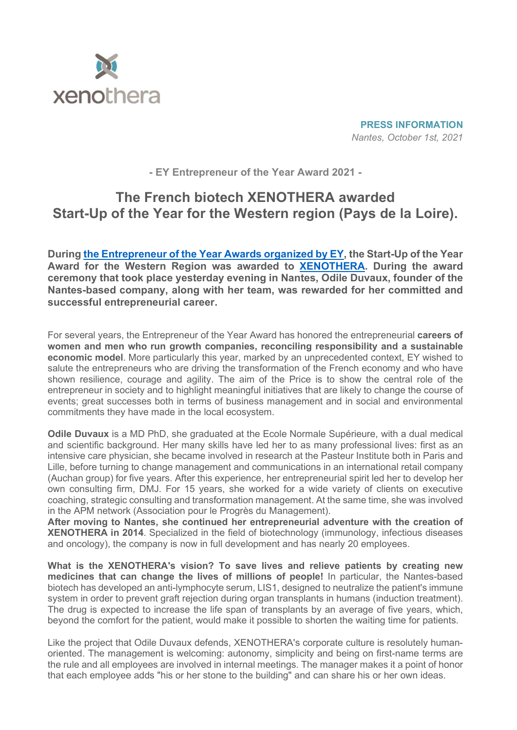

PRESS INFORMATION Nantes, October 1st, 2021

- EY Entrepreneur of the Year Award 2021 -

## The French biotech XENOTHERA awarded Start-Up of the Year for the Western region (Pays de la Loire).

During the Entrepreneur of the Year Awards organized by EY, the Start-Up of the Year Award for the Western Region was awarded to XENOTHERA. During the award ceremony that took place yesterday evening in Nantes, Odile Duvaux, founder of the Nantes-based company, along with her team, was rewarded for her committed and successful entrepreneurial career.

For several years, the Entrepreneur of the Year Award has honored the entrepreneurial careers of women and men who run growth companies, reconciling responsibility and a sustainable economic model. More particularly this year, marked by an unprecedented context, EY wished to salute the entrepreneurs who are driving the transformation of the French economy and who have shown resilience, courage and agility. The aim of the Price is to show the central role of the entrepreneur in society and to highlight meaningful initiatives that are likely to change the course of events; great successes both in terms of business management and in social and environmental commitments they have made in the local ecosystem.

Odile Duvaux is a MD PhD, she graduated at the Ecole Normale Supérieure, with a dual medical and scientific background. Her many skills have led her to as many professional lives: first as an intensive care physician, she became involved in research at the Pasteur Institute both in Paris and Lille, before turning to change management and communications in an international retail company (Auchan group) for five years. After this experience, her entrepreneurial spirit led her to develop her own consulting firm, DMJ. For 15 years, she worked for a wide variety of clients on executive coaching, strategic consulting and transformation management. At the same time, she was involved in the APM network (Association pour le Progrès du Management).

After moving to Nantes, she continued her entrepreneurial adventure with the creation of XENOTHERA in 2014. Specialized in the field of biotechnology (immunology, infectious diseases and oncology), the company is now in full development and has nearly 20 employees.

What is the XENOTHERA's vision? To save lives and relieve patients by creating new medicines that can change the lives of millions of people! In particular, the Nantes-based biotech has developed an anti-lymphocyte serum, LIS1, designed to neutralize the patient's immune system in order to prevent graft rejection during organ transplants in humans (induction treatment). The drug is expected to increase the life span of transplants by an average of five years, which, beyond the comfort for the patient, would make it possible to shorten the waiting time for patients.

Like the project that Odile Duvaux defends, XENOTHERA's corporate culture is resolutely humanoriented. The management is welcoming: autonomy, simplicity and being on first-name terms are the rule and all employees are involved in internal meetings. The manager makes it a point of honor that each employee adds "his or her stone to the building" and can share his or her own ideas.